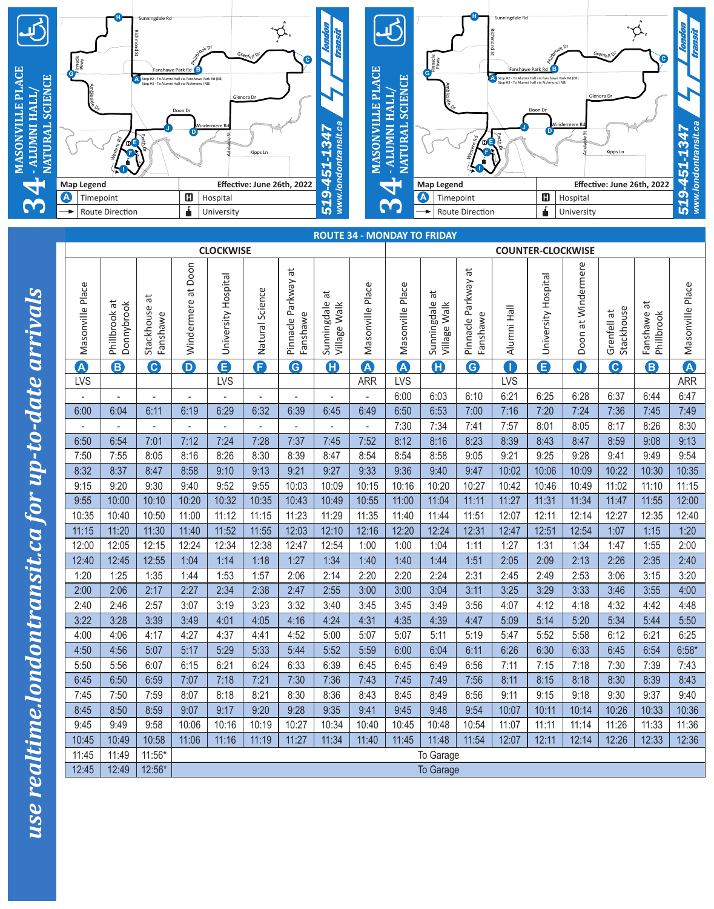

| <b>Map Legend</b> |                              |                             |                          |                     |                 | Effective: June 26th, 2022                | 4                                |                          | $\overline{\phantom{0}}$ | <b>Map Legend</b>                  |                                           |                          | Effective: June 26th, 2022 |                         |                             |                             | www.lon<br>4          |
|-------------------|------------------------------|-----------------------------|--------------------------|---------------------|-----------------|-------------------------------------------|----------------------------------|--------------------------|--------------------------|------------------------------------|-------------------------------------------|--------------------------|----------------------------|-------------------------|-----------------------------|-----------------------------|-----------------------|
| A<br>Timepoint    |                              |                             | $\mathbf G$              | Hospital            |                 |                                           | www.lon<br>519                   |                          |                          | $\boldsymbol{\Omega}$<br>Timepoint |                                           |                          |                            | $\mathbf G$<br>Hospital |                             |                             |                       |
| Route Direction   |                              |                             | Á                        | University          |                 |                                           | 3                                |                          |                          | Route Direction                    |                                           |                          | Á<br>University            |                         |                             | 519                         |                       |
|                   |                              |                             |                          |                     |                 |                                           |                                  |                          |                          | <b>ROUTE 34 - MONDAY TO FRIDAY</b> |                                           |                          |                            |                         |                             |                             |                       |
|                   |                              |                             |                          | <b>CLOCKWISE</b>    |                 |                                           |                                  |                          |                          |                                    |                                           | <b>COUNTER-CLOCKWISE</b> |                            |                         |                             |                             |                       |
|                   |                              |                             |                          |                     |                 |                                           |                                  |                          |                          |                                    |                                           |                          |                            |                         |                             |                             |                       |
| Masonville Place  | Phillbrook at<br>Donnybrook  | đ<br>Stackhouse<br>Fanshawe | Windermere at Doon       | University Hospital | Natural Science | $\vec{a}$<br>Pinnacle Parkway<br>Fanshawe | đ<br>Sunningdale<br>Village Walk | Masonville Place         | Masonville Place         | đ<br>Sunningdale<br>Village Walk   | $\vec{a}$<br>Pinnacle Parkway<br>Fanshawe | Alumni Hall              | University Hospital        | at Windermere<br>Doon   | Stackhouse<br>ã<br>Grenfell | ä<br>Fanshawe<br>Phillbrook | Masonville Place      |
| A                 | 8                            | $\mathbf{\Theta}$           | $\mathbf 0$              | G                   | G               | $\mathbf \Theta$                          | O                                | A                        | $\boldsymbol{\Delta}$    | O                                  | $\mathbf{\Theta}$                         | 0                        | G                          | $\bullet$               | $\mathbf{\Theta}$           | 8                           | $\boldsymbol{\Delta}$ |
| <b>LVS</b>        |                              |                             |                          | <b>LVS</b>          |                 |                                           |                                  | <b>ARR</b>               | LVS                      |                                    |                                           | <b>LVS</b>               |                            |                         |                             |                             | <b>ARR</b>            |
|                   | $\blacksquare$               | ۰                           | ۰                        |                     |                 | $\overline{\phantom{a}}$                  | $\overline{\phantom{a}}$         | $\overline{a}$           | 6:00                     | 6:03                               | 6:10                                      | 6:21                     | 6:25                       | 6:28                    | 6:37                        | 6:44                        | 6:47                  |
| 6:00              | 6:04                         | 6:11                        | 6:19                     | 6:29                | 6:32            | 6:39                                      | 6:45                             | 6:49                     | 6:50                     | 6:53                               | 7:00                                      | 7:16                     | 7:20                       | 7:24                    | 7:36                        | 7:45                        | 7:49                  |
|                   | $\blacksquare$               | ÷.                          | $\overline{\phantom{0}}$ | $\blacksquare$      | $\blacksquare$  | ÷,                                        | $\overline{a}$                   | $\overline{\phantom{a}}$ | 7:30                     | 7:34                               | 7:41                                      | 7:57                     | 8:01                       | 8:05                    | 8:17                        | 8:26                        | 8:30                  |
| 6:50              | 6:54                         | 7:01                        | 7:12                     | 7:24                | 7:28            | 7:37                                      | 7:45                             | 7:52                     | 8:12                     | 8:16                               | 8:23                                      | 8:39                     | 8:43                       | 8:47                    | 8:59                        | 9:08                        | 9:13                  |
| 7:50              | 7:55                         | 8:05                        | 8:16                     | 8:26                | 8:30            | 8:39                                      | 8:47                             | 8:54                     | 8:54                     | 8:58                               | 9:05                                      | 9:21                     | 9:25                       | 9:28                    | 9:41                        | 9:49                        | 9:54                  |
| 8:32              | 8:37                         | 8:47                        | 8:58                     | 9:10                | 9:13            | 9:21                                      | 9:27                             | 9:33                     | 9:36                     | 9:40                               | 9:47                                      | 10:02                    | 10:06                      | 10:09                   | 10:22                       | 10:30                       | 10:35                 |
| 9:15              | 9:20                         | 9:30                        | 9:40                     | 9:52                | 9:55            | 10:03                                     | 10:09                            | 10:15                    | 10:16                    | 10:20                              | 10:27                                     | 10:42                    | 10:46                      | 10:49                   | 11:02                       | 11:10                       | 11:15                 |
| 9:55              | 10:00                        | 10:10                       | 10:20                    | 10:32               | 10:35           | 10:43                                     | 10:49                            | 10:55                    | 11:00                    | 11:04                              | 11:11                                     | 11:27                    | 11:31                      | 11:34                   | 11:47                       | 11:55                       | 12:00                 |
| 10:35             | 10:40                        | 10:50                       | 11:00                    | 11:12               | 11:15           | 11:23                                     | 11:29                            | 11:35                    | 11:40                    | 11:44                              | 11:51                                     | 12:07                    | 12:11                      | 12:14                   | 12:27                       | 12:35                       | 12:40                 |
| 11:15             | 11:20                        | 11:30                       | 11:40                    | 11:52               | 11:55           | 12:03                                     | 12:10                            | 12:16                    | 12:20                    | 12:24                              | 12:31                                     | 12:47                    | 12:51                      | 12:54                   | 1:07                        | 1:15                        | 1:20                  |
| 12:00             | 12:05                        | 12:15                       | 12:24                    | 12:34               | 12:38           | 12:47                                     | 12:54                            | 1:00                     | 1:00                     | 1:04                               | 1:11                                      | 1:27                     | 1:31                       | 1:34                    | 1:47                        | 1:55                        | 2:00                  |
| 12:40             | 12:45                        | 12:55                       | 1:04                     | 1:14                | 1:18            | 1:27                                      | 1:34                             | 1:40                     | 1:40                     | 1:44                               | 1:51                                      | 2:05                     | 2:09                       | 2:13                    | 2:26                        | 2:35                        | 2:40                  |
| 1:20              | 1:25                         | 1:35                        | 1:44                     | 1:53                | 1:57            | 2:06                                      | 2:14                             | 2:20                     | 2:20                     | 2:24                               | 2:31                                      | 2:45                     | 2:49                       | 2:53                    | 3:06                        | 3:15                        | 3:20                  |
| 2:00              | 2:06                         | 2:17                        | 2:27                     | 2:34                | 2:38            | 2:47                                      | 2:55                             | 3:00                     | 3:00                     | 3:04                               | 3:11                                      | 3:25                     | 3:29                       | 3:33                    | 3:46                        | 3:55                        | 4:00                  |
| 2:40              | 2:46                         | 2:57                        | 3:07                     | 3:19                | 3:23            | 3:32                                      | 3:40                             | 3:45                     | 3:45                     | 3:49                               | 3:56                                      | 4:07                     | 4:12                       | 4:18                    | 4:32                        | 4:42                        | 4:48                  |
| 3:22              | 3:28<br>4:06                 | 3:39                        | 3:49                     | 4:01                | 4:05            | 4:16                                      | 4:24                             | 4:31                     | 4:35                     | 4:39                               | 4:47                                      | 5:09                     | 5:14                       | 5:20                    | 5:34                        | 5:44<br>6:21                | 5:50<br>6:25          |
| 4:00<br>4:50      | 4:56                         | 4:17<br>5:07                | 4:27<br>5:17             | 4:37<br>5:29        | 4:41<br>5:33    | 4:52<br>5:44                              | 5:00<br>5:52                     | 5:07<br>5:59             | 5:07<br>6:00             | 5:11<br>6:04                       | 5:19<br>6:11                              | 5:47<br>6:26             | 5:52<br>6:30               | 5:58<br>6:33            | 6:12<br>6:45                | 6:54                        | $6:58*$               |
| 5:50              | 5:56                         | 6:07                        | 6:15                     | 6:21                | 6:24            | 6:33                                      | 6:39                             | 6:45                     | 6:45                     | 6:49                               | 6:56                                      | 7:11                     | 7:15                       | 7:18                    | 7:30                        | 7:39                        | 7:43                  |
| 6:45              | 6:50                         | 6:59                        | 7:07                     | 7:18                | 7:21            | 7:30                                      | 7:36                             | 7:43                     | 7:45                     | 7:49                               | 7:56                                      | 8:11                     | 8:15                       | 8:18                    | 8:30                        | 8:39                        | 8:43                  |
| 7:45              | 7:50                         | 7:59                        | 8:07                     | 8:18                | 8:21            | 8:30                                      | 8:36                             | 8:43                     | 8:45                     | 8:49                               | 8:56                                      | 9:11                     | 9:15                       | 9:18                    | 9:30                        | 9:37                        | 9:40                  |
| 8:45              | 8:50                         | 8:59                        | 9:07                     | 9:17                | 9:20            | 9:28                                      | 9:35                             | 9:41                     | 9:45                     | 9:48                               | 9:54                                      | 10:07                    | 10:11                      | 10:14                   | 10:26                       | 10:33                       | 10:36                 |
| 9:45              | 9:49                         | 9:58                        | 10:06                    | 10:16               | 10:19           | 10:27                                     | 10:34                            | 10:40                    | 10:45                    | 10:48                              | 10:54                                     | 11:07                    | 11:11                      | 11:14                   | 11:26                       | 11:33                       | 11:36                 |
| 10:45             | 10:49                        | 10:58                       | 11:06                    | 11:16               | 11:19           | 11:27                                     | 11:34                            | 11:40                    | 11:45                    | 11:48                              | 11:54                                     | 12:07                    | 12:11                      | 12:14                   | 12:26                       | 12:33                       | 12:36                 |
| 11:45             | 11:49                        | 11:56*                      |                          |                     |                 |                                           |                                  |                          |                          | To Garage                          |                                           |                          |                            |                         |                             |                             |                       |
| 12:45             | 12:49<br>12:56*<br>To Garage |                             |                          |                     |                 |                                           |                                  |                          |                          |                                    |                                           |                          |                            |                         |                             |                             |                       |
|                   |                              |                             |                          |                     |                 |                                           |                                  |                          |                          |                                    |                                           |                          |                            |                         |                             |                             |                       |

*use realtime.londontransit.ca for up-to-date arrivals*

use realtime.londontransit.ca for up-to-date arrivals